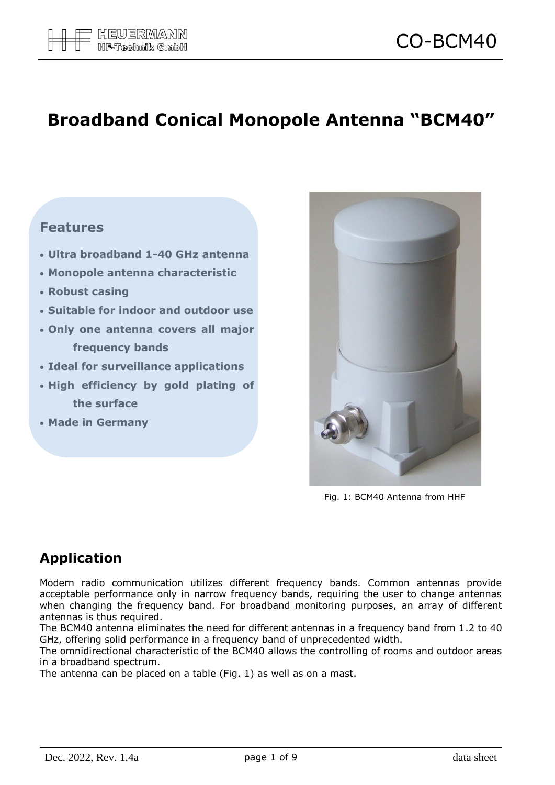# **Broadband Conical Monopole Antenna "BCM40"**

#### **Features**

- **Ultra broadband 1-40 GHz antenna**
- **Monopole antenna characteristic**
- **Robust casing**
- **Suitable for indoor and outdoor use**
- **Only one antenna covers all major frequency bands**
- **Ideal for surveillance applications**
- **High efficiency by gold plating of the surface**
- **Made in Germany**



Fig. 1: BCM40 Antenna from HHF

## **Application**

Modern radio communication utilizes different frequency bands. Common antennas provide acceptable performance only in narrow frequency bands, requiring the user to change antennas when changing the frequency band. For broadband monitoring purposes, an array of different antennas is thus required.

The BCM40 antenna eliminates the need for different antennas in a frequency band from 1.2 to 40 GHz, offering solid performance in a frequency band of unprecedented width.

The omnidirectional characteristic of the BCM40 allows the controlling of rooms and outdoor areas in a broadband spectrum.

The antenna can be placed on a table (Fig. 1) as well as on a mast.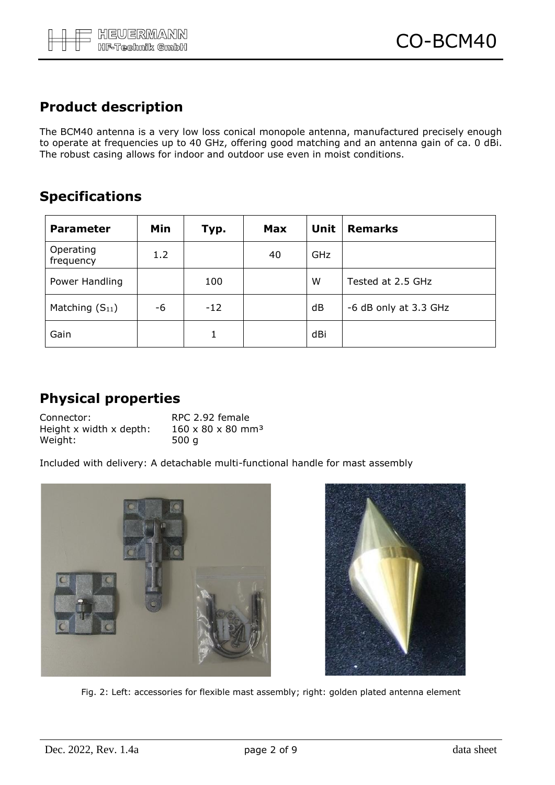### **Product description**

The BCM40 antenna is a very low loss conical monopole antenna, manufactured precisely enough to operate at frequencies up to 40 GHz, offering good matching and an antenna gain of ca. 0 dBi. The robust casing allows for indoor and outdoor use even in moist conditions.

#### **Specifications**

| <b>Parameter</b>       | Min | Typ.  | <b>Max</b> | <b>Unit</b> | <b>Remarks</b>        |
|------------------------|-----|-------|------------|-------------|-----------------------|
| Operating<br>frequency | 1.2 |       | 40         | GHz         |                       |
| Power Handling         |     | 100   |            | W           | Tested at 2.5 GHz     |
| Matching $(S_{11})$    | -6  | $-12$ |            | dB          | -6 dB only at 3.3 GHz |
| Gain                   |     |       |            | dBi         |                       |

#### **Physical properties**

| Connector:              | RPC 2.92 female                           |
|-------------------------|-------------------------------------------|
| Height x width x depth: | $160 \times 80 \times 80$ mm <sup>3</sup> |
| Weight:                 | 500 a                                     |

Included with delivery: A detachable multi-functional handle for mast assembly





Fig. 2: Left: accessories for flexible mast assembly; right: golden plated antenna element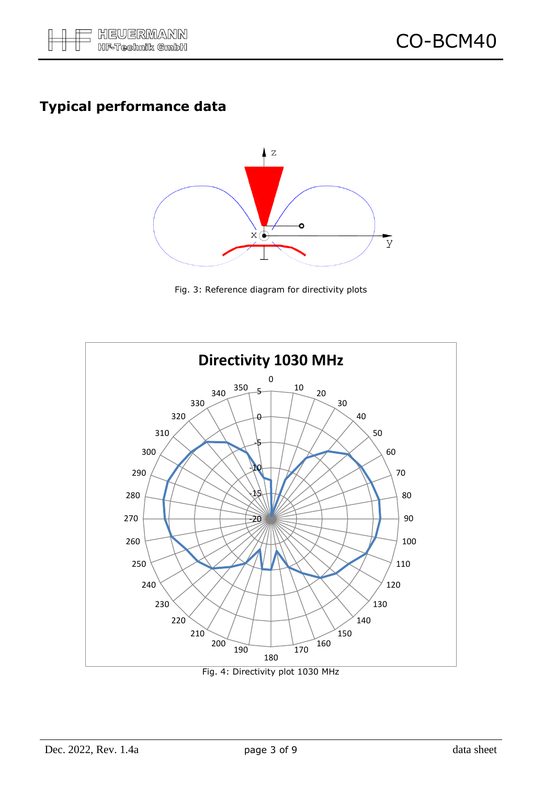## **Typical performance data**



Fig. 3: Reference diagram for directivity plots



Fig. 4: Directivity plot 1030 MHz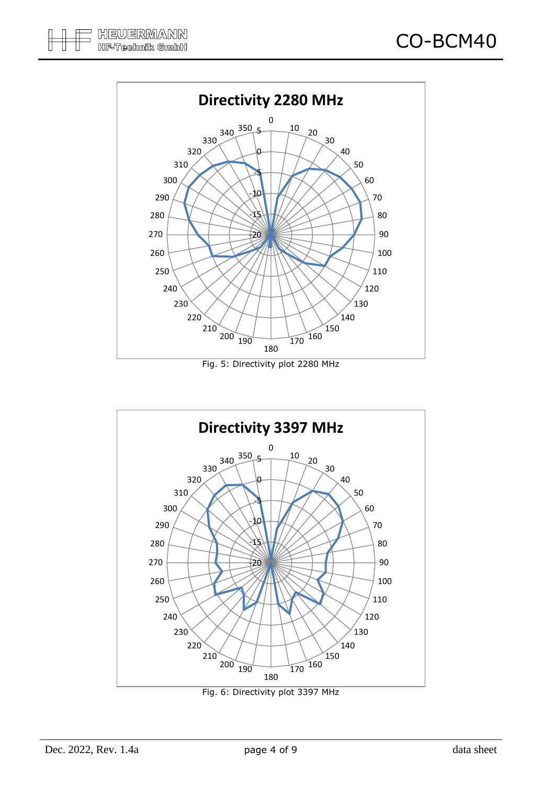

Fig. 5: Directivity plot 2280 MHz



Fig. 6: Directivity plot 3397 MHz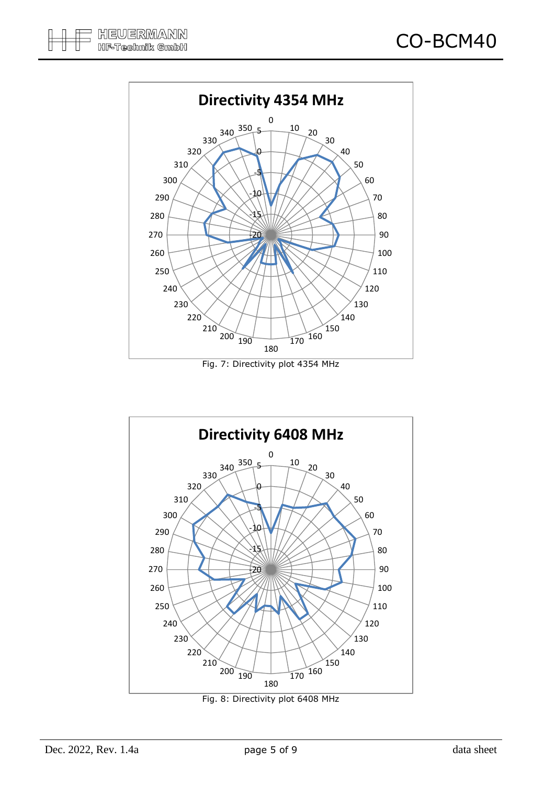

Fig. 7: Directivity plot 4354 MHz



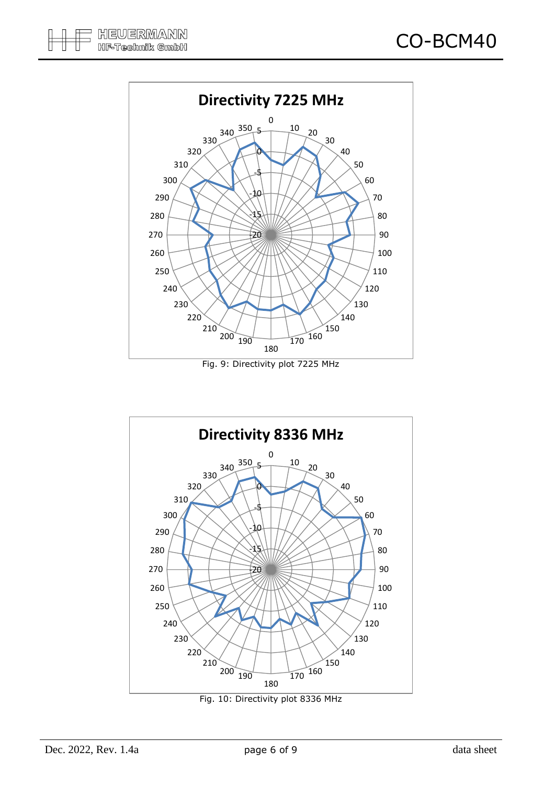

Fig. 9: Directivity plot 7225 MHz



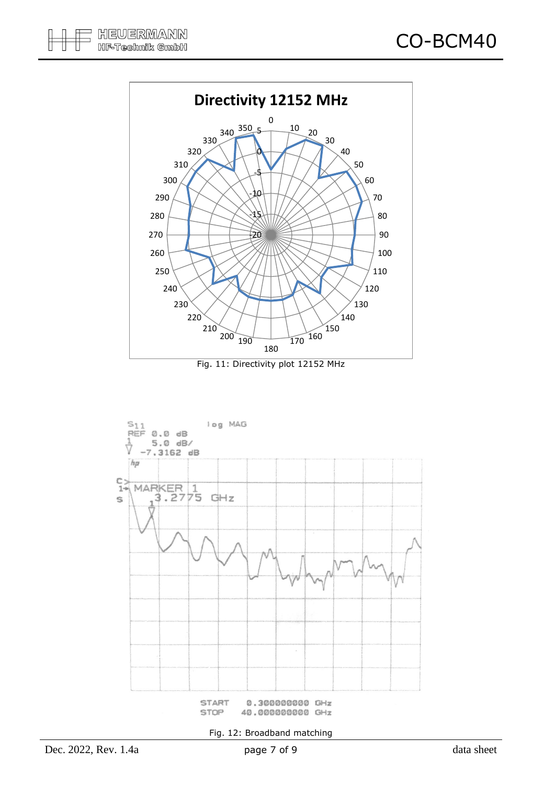

Fig. 11: Directivity plot 12152 MHz



Fig. 12: Broadband matching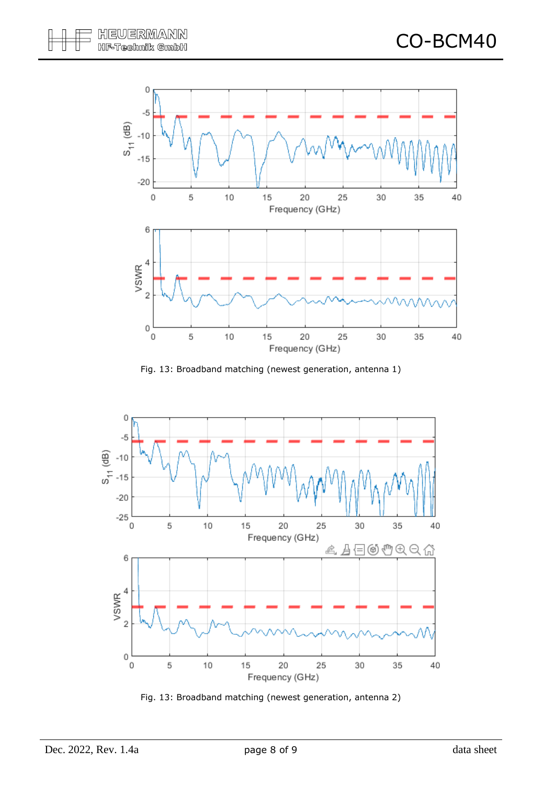

Fig. 13: Broadband matching (newest generation, antenna 1)



Fig. 13: Broadband matching (newest generation, antenna 2)